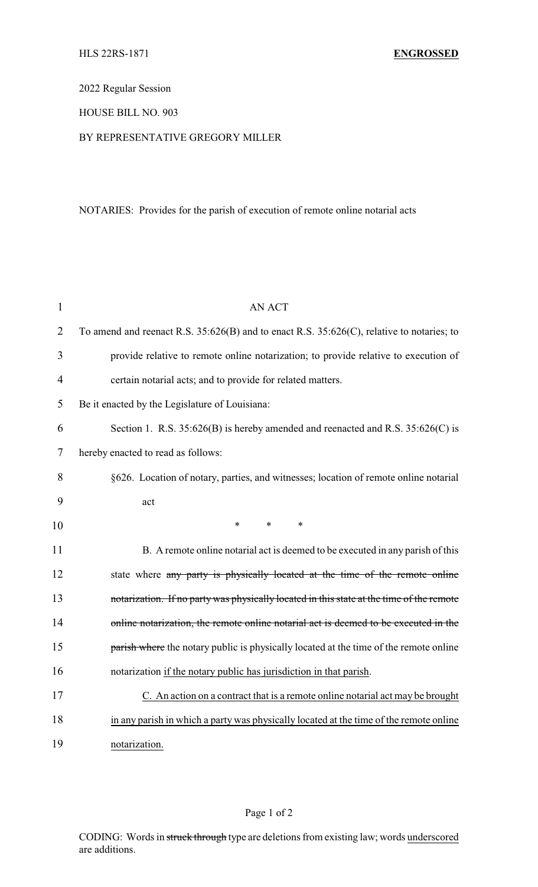# 2022 Regular Session

## HOUSE BILL NO. 903

### BY REPRESENTATIVE GREGORY MILLER

## NOTARIES: Provides for the parish of execution of remote online notarial acts

| $\mathbf{1}$   | <b>AN ACT</b>                                                                                  |  |  |
|----------------|------------------------------------------------------------------------------------------------|--|--|
| $\overline{2}$ | To amend and reenact R.S. $35:626(B)$ and to enact R.S. $35:626(C)$ , relative to notaries; to |  |  |
| 3              | provide relative to remote online notarization; to provide relative to execution of            |  |  |
| $\overline{4}$ | certain notarial acts; and to provide for related matters.                                     |  |  |
| 5              | Be it enacted by the Legislature of Louisiana:                                                 |  |  |
| 6              | Section 1. R.S. $35:626(B)$ is hereby amended and reenacted and R.S. $35:626(C)$ is            |  |  |
| 7              | hereby enacted to read as follows:                                                             |  |  |
| 8              | §626. Location of notary, parties, and witnesses; location of remote online notarial           |  |  |
| 9              | act                                                                                            |  |  |
| 10             | $\ast$<br>$\ast$<br>$\ast$                                                                     |  |  |
| 11             | B. A remote online notarial act is deemed to be executed in any parish of this                 |  |  |
| 12             | state where any party is physically located at the time of the remote online                   |  |  |
| 13             | notarization. If no party was physically located in this state at the time of the remote       |  |  |
| 14             | online notarization, the remote online notarial act is deemed to be executed in the            |  |  |
| 15             | parish where the notary public is physically located at the time of the remote online          |  |  |
| 16             | notarization if the notary public has jurisdiction in that parish.                             |  |  |
| 17             | C. An action on a contract that is a remote online notarial act may be brought                 |  |  |
| 18             | in any parish in which a party was physically located at the time of the remote online         |  |  |
| 19             | notarization.                                                                                  |  |  |